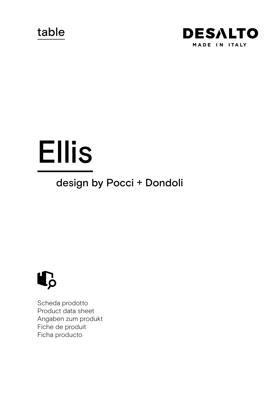table



# Ellis

# design by Pocci + Dondoli



Scheda prodotto Product data sheet Angaben zum produkt Fiche de produit Ficha producto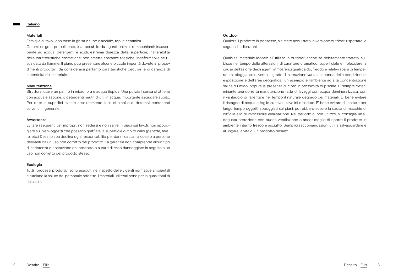#### Italiano

#### Materiali

Famiglia di tavoli con base in ghisa e tubo d'acciaio, top in ceramica. Ceramica: gres porcellanato, inattaccabile da agenti chimici e macchianti; inassorbente ad acqua, detergenti e acidi; estrema durezza della superficie; inalterabilità delle caratteristiche cromatiche; non emette sostanze tossiche; indeformabile se riscaldato da fiamme. Il piano può presentare alcune piccole impurità dovute ai procedimenti produttivi, da considerarsi pertanto caratteristiche peculiari e di garanzia di autenticità del materiale.

#### Manutenzione

Struttura: usare un panno in microfibra e acqua tiepida. Una pulizia intensa si ottiene con acqua e sapone, o detergenti neutri diluiti in acqua. Importante asciugare subito. Per tutte le superfici evitare assolutamente l'uso di alcol o di detersivi contenenti solventi in generale.

#### Avvertenze

Evitare i seguenti usi impropri: non sedersi e non salire in piedi sui tavoli; non appoggiare sui piani oggetti che possano graffiare la superficie o molto caldi (pentole, teiere, etc.) Desalto spa declina ogni responsabilità per danni causati a cose o a persone derivanti da un uso non corretto del prodotto. La garanzia non comprende alcun tipo di assistenza o riparazione del prodotto o a parti di esso danneggiate in seguito a un uso non corretto del prodotto stesso.

#### Ecologia

Tutti i processi produttivi sono eseguiti nel rispetto delle vigenti normative ambientali e tutelano la salute del personale addetto. I materiali utilizzati sono per la quasi totalità riciclabili.

# Outdoor

Qualora il prodotto in possesso, sia stato acquistato in versione outdoor, rispettare le seguenti indicazioni:

Qualsiasi materiale idoneo all'utilizzo in outdoor, anche se debitamente trattato, subisce nel tempo delle alterazioni di carattere cromatico, superficiale e molecolare, a causa dell'azione degli agenti atmosferici quali caldo, freddo e relativi sbalzi di temperatura, pioggia, sole, vento. Il grado di alterazione varia a seconda delle condizioni di esposizione e dell'area geografica: un esempio è l'ambiente ad alta concentrazione salina o umido, oppure la presenza di cloro in prossimità di piscine. E' sempre determinante una corretta manutenzione fatta di lavaggi con acqua demineralizzata, con il vantaggio di rallentare nel tempo il naturale degrado dei materiali. E' bene evitare il ristagno di acqua e foglie su tavoli, tavolini e sedute. E' bene evitare di lasciare per lungo tempo oggetti appoggiati sui piani: potrebbero essere la causa di macchie di difficile e/o di impossibile eliminazione. Nel periodo di non utilizzo, si consiglia un'adeguata protezione con buona ventilazione o ancor meglio di riporre il prodotto in ambiente interno fresco e asciutto. Semplici raccomandazioni utili a salvaguardare e allungare la vita di un prodotto desalto.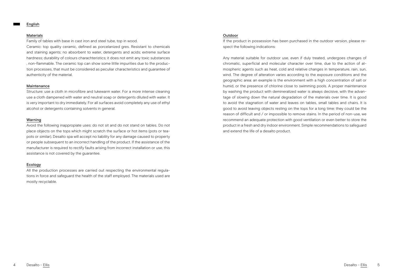#### English

#### Materials

Family of tables with base in cast iron and steel tube, top in wood.

Ceramic: top quality ceramic, defined as porcelanized gres. Resistant to chemicals and staining agents; no absorbent to water, detergents and acids; extreme surface hardness; durability of colours charachteristics; it does not emit any toxic substances , non-flammable. The ceramic top can show some little impurities due to the production processes, that must be considered as peculiar characteristics and guarantee of authenticity of the material.

#### Maintenance

Structure: use a cloth in microfibre and lukewarm water. For a more intense cleaning use a cloth dampened with water and neutral soap or detergents diluted with water. It is very important to dry immediately. For all surfaces avoid completely any use of ethyl alcohol or detergents containing solvents in general.

#### Warning

Avoid the following inappropiate uses: do not sit and do not stand on tables. Do not place objects on the tops which might scratch the surface or hot items (pots or teapots or similar). Desalto spa will accept no liability for any damage caused to property or people subsequent to an incorrect handling of the product. If the assistance of the manufacturer is required to rectify faults arising from incorrect installation or use, this assistance is not covered by the guarantee.

# Ecology

All the production processes are carried out respecting the environmental regulations in force and safeguard the health of the staff employed. The materials used are mostly recyclable.

# Outdoor

If the product in possession has been purchased in the outdoor version, please respect the following indications:

Any material suitable for outdoor use, even if duly treated, undergoes changes of chromatic, superficial and molecular character over time, due to the action of atmospheric agents such as heat, cold and relative changes in temperature, rain, sun, wind. The degree of alteration varies according to the exposure conditions and the geographic area: an example is the environment with a high concentration of salt or humid, or the presence of chlorine close to swimming pools. A proper maintenance by washing the product with demineralized water is always decisive, with the advantage of slowing down the natural degradation of the materials over time. It is good to avoid the stagnation of water and leaves on tables, small tables and chairs. It is good to avoid leaving objects resting on the tops for a long time: they could be the reason of difficult and / or impossible to remove stains. In the period of non-use, we recommend an adequate protection with good ventilation or even better to store the product in a fresh and dry indoor environment. Simple recommendations to safeguard and extend the life of a desalto product.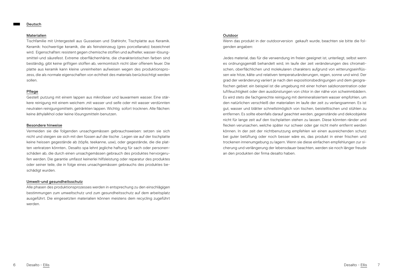#### Deutsch

#### Materialien

Tischfamilie mit Untergestell aus Gusseisen und Stahlrohr, Tischplatte aus Keramik. Keramik: hochwertige keramik, die als feinsteinzeug (gres porcellanato) bezeichnet wird. Eigenschaften: resistent gegen chemische stoffen und aufheller, wasser-lösungsmittel-und säurefest. Extreme oberflächenhärte, die charakteristischen farben sind beständig, gibt keine griftigen stoffen ab, vermomtsich nicht über offenem feuer. Die platte aus keramik kann kleine unreinheiten aufweisen wegen des produktionsprozess, die als normale eigenschaften von echtheit des materials berücksichtigt werden sollen.

# Pflege

Gestell: putzung mit einem lappen aus mikrofaser und lauwarmem wasser. Eine stärkere reinigung mit einem weichem ,mit wasser und seife oder mit wasser verdünnten neutralen reinigungsmitteln, getränkten lappen. Wichtig sofort trocknen. Alle flächen: keine äthylalkhol oder keine lösungsmitteln benutzen.

#### Besondere hinweise

Vermeiden sie die folgenden unsachgemässen gebrauchsweisen: setzen sie sich nicht und steigen sie sich mit den füssen auf die tische . Legen sie auf der tischplatte keine heissen gegestände ab (töpfe, teekanne, usw), oder gegestände, die die platten verkratzen könnten.. Desalto spa lehnt jegliche haftung für sach oder personenschäden ab, die durch einen unsachgemässen gebrauch des produktes hervorgerufen werden. Die garantie umfasst keinerlei hilfsleistung oder reparatur des produktes oder seiner teile, die in folge eines unsachgemässen gebrauchs des produktes beschädigt wurden.

## Umwelt-und gesundheitsschutz

Alle phasen des produktionsprozesses werden in entsprechung zu den einschlägigen bestimmungen zum umweltschutz und zum gesundheitsschutz auf dem arbeitsplatz ausgeführt. Die eingesetzten materialien können meistens dem recycling zugeführt werden.

#### Outdoor

Wenn das produkt in der outdoorversion gekauft wurde, beachten sie bitte die folgenden angaben:

Jedes material, das für die verwendung im freien geeignet ist, unterliegt, selbst wenn es ordnungsgemäß behandelt wird, im laufe der zeit veränderungen des chromatischen, oberflächlichen und molekularen charakters aufgrund von witterungseinflüssen wie hitze, kälte und relativen temperaturänderungen, regen, sonne und wind. Der grad der veränderung variiert je nach den expositionsbedingungen und dem geografischen gebiet: ein beispiel ist die umgebung mit einer hohen salzkonzentration oder luftfeuchtigkeit oder den ausdünstungen von chlor in der nähe von schwimmbädern. Es wird stets die fachgerechte reinigung mit demineralisiertem wasser empfohlen, um den natürlichen verschleiß der materialien im laufe der zeit zu verlangsamnen. Es ist gut, wasser und blätter schnellstmöglich von tischen, beistelltischen und stühlen zu entfernen. Es sollte ebenfalls darauf geachtet werden, gegenstände und dekoobjekte nicht für lange zeit auf den tischplatten stehen zu lassen. Diese könnten ränder und flecken verursachen, welche später nur schwer oder gar nicht mehr entfernt werden können. In der zeit der nichtbenutzung empfehlen wir einen ausreichenden schutz bei guter belüftung oder noch besser wäre es, das produkt in einer frischen und trockenen innenumgebung zu lagern. Wenn sie diese einfachen empfehlungen zur sicherung und verlängerung der lebensdauer beachten, werden sie noch länger freude an den produkten der firma desalto haben.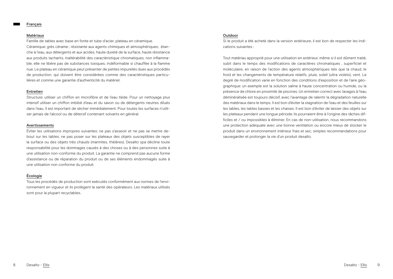#### Français

#### Matériaux

Famille de tables avec base en fonte et tube d'acier, plateau en céramique. Céramique: grès cérame ; résistante aux agents chimiques et atmosphériques; étanche à l'eau, aux détergents et aux acides, haute dureté de la surface, haute résistance aux produits tachants, inaltérabilité des caractéristique chromatiques, non inflammable, elle ne libère pas de substances toxiques, indéformable si chauffée à la flamme nue. Le plateau en céramique peut présenter de petites impuretés dues aux procédés de production, qui doivent être considérées comme des caractéristiques particulières et comme une garantie d'authenticité du matériel.

#### Entretien

Structure: utiliser un chiffon en microfibre et de l'eau tiède. Pour un nettoyage plus intensif utiliser un chiffon imbibé d'eau et du savon ou de détergents neutres dilués dans l'eau. Il est important de sécher immédiatement. Pour toutes les surfaces n'utiliser jamais de l'alcool ou de détersif contenant solvants en général.

#### Avertissements

Éviter les utilisations impropres suivantes: ne pas s'asseoir et ne pas se mettre debout sur les tables, ne pas poser sur les plateaux des objets susceptibles de rayer la surface ou des objets très chauds (marmites, théières). Desalto spa décline toute responsabilité pour les dommages causés à des choses ou à des personnes suite à une utilisation non-conforme du produit. La garantie ne comprend pas aucune forme d'assistance ou de réparation du produit ou de ses éléments endommagés suite à une utilisation non conforme du produit.

# Écologie

Tous les procédés de production sont exécutés conformément aux normes de l'environnement en vigueur et ils protègent la santé des opérateurs. Les matériaux utilisés sont pour la plupart recyclables.

# Outdoor

Si le produit a été acheté dans la version extérieure, il est bon de respecter les indications suivantes :

Tout matériau approprié pour une utilisation en extérieur, même si il est dûment traité, subit dans le temps des modifications de caractères chromatiques , superficiel et moléculaire, en raison de l'action des agents atmosphériques tels que la chaud, le froid et les changements de température relatifs, pluie, soleil (ultra violets), vent. Le degré de modification varie en fonction des conditions d'exposition et de l'aire géographique: un exemple est la solution saline à haute concentration ou humide, ou la présence de chlore en proximité de piscines. Un entretien correct avec lavages à l'eau déminéralisée est toujours décisif, avec l'avantage de ralentir la dégradation naturelle des matériaux dans le temps. Il est bon d'éviter la stagnation de l'eau et des feuilles sur les tables, les tables basses et les chaises. Il est bon d'éviter de laisser des objets sur les plateaux pendant une longue période: ils pourraient être à l'origine des tâches difficiles et / ou impossibles à éliminer. En cas de non-utilisation, nous recommandons une protection adéquate avec une bonne ventilation ou encore mieux de stocker le produit dans un environnement intérieur frais et sec, simples recommandations pour sauvegarder et prolonger la vie d'un produit desalto.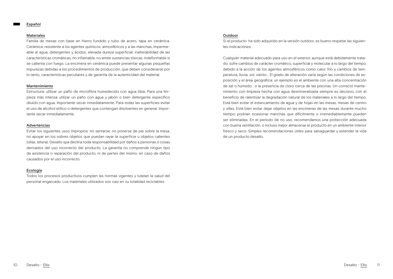#### Español

#### Materiales

Familia de mesas con base en hierro fundido y tubo de acero, tapa en cerámica. Cerámica: resistente a los agentes químicos, atmosféricos y a las manchas, impermeable al agua, detergentes y ácidos, elevada dureza superficial, inalterabilidad de las características cromáticas, no inflamable, no emite sustancias tóxicas, indeformable si se calienta con fuego. La encimera en cerámica puede presentar algunas pequeñas impurezas debidas a los procedimientos de producción, que deben considerarse por lo tanto, características peculiares y de garantía de la autenticidad del material.

# Mantenimiento

Estructura: utilizar un paño de microfibra humedecido con agua tibia. Para una limpieza más intensa utilizar un paño con agua y jabón o bien detergente específico diluido con agua. Importante secar inmediatamente. Para todas las superficies evitar el uso de alcohol etílico o detergentes que contengan disolventes en general. Importante secar inmediatamente.

#### Advertencias

Evitar los siguientes usos impropios: no sentarse, no ponerse de pie sobre la mesa, no apoyar en los sobres objetos que puedan rayar la superficie u objetos calientes (ollas, tetera). Desalto spa declina toda responsabilidad por daños a personas o cosas derivados del uso incorrecto del producto. La garantía no comprende ningún tipo de asistencia o reparación del producto, ni de partes del mismo, en caso de daños causados por el uso incorrecto.

#### Ecología

Todos los procesos productivos cumplen las normas vigentes y tutelan la salud del personal engarcado. Los materiales utilizados son casi en su totalidad reciclables.

#### Outdoor

Si el producto ha sido adquirido en la versión outdoor, es bueno respetar las siguientes indicaciónes:

Cualquier material adecuado para uso en el exterior, aunque está debidamente tratado, sufre cambios de carácter cromático, superficial y molecular a lo largo del tiempo, debido a la acción de los agentes atmosféricos como calor, frío y cambios de temperatura, lluvia, sol, viento... El grado de alteración varía según las condiciones de exposición y el área geográfica: un ejemplo es el ambiente con una alta concentración de sal o húmedo , o la presencia de cloro cerca de las piscinas. Un correcto mantenimiento con limpieza hecha con agua desmineralizada siempre es decisivo, con el beneficio de ralentizar la degradación natural de los materiales a lo largo del tiempo. Está bien evitar el estancamiento de agua y de hojas en las mesas, mesas de centro y sillas. Está bien evitar dejar objetos en las encimeras de las mesas durante mucho tiempo: podrían ocasionar manchas que difícilmente o irremediablemente pueden ser eliminadas. En el período de no uso, recomendamos una protección adecuada con buena ventilación, o incluso mejor almacenar el producto en un ambiente interior fresco y seco. Simples recomendaciones útiles para salvaguardar y extender la vida de un producto desalto.